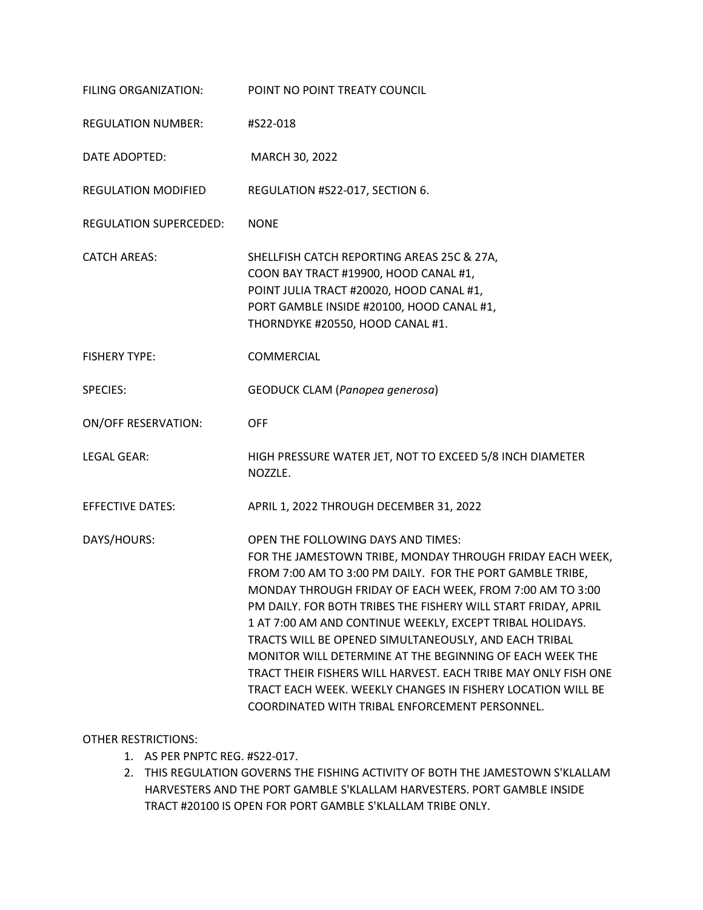| FILING ORGANIZATION:       | POINT NO POINT TREATY COUNCIL                                                                                                                                                                                                                                                                                                                                                                                                                                                                                                                                                                                                                                   |
|----------------------------|-----------------------------------------------------------------------------------------------------------------------------------------------------------------------------------------------------------------------------------------------------------------------------------------------------------------------------------------------------------------------------------------------------------------------------------------------------------------------------------------------------------------------------------------------------------------------------------------------------------------------------------------------------------------|
| <b>REGULATION NUMBER:</b>  | #S22-018                                                                                                                                                                                                                                                                                                                                                                                                                                                                                                                                                                                                                                                        |
| DATE ADOPTED:              | MARCH 30, 2022                                                                                                                                                                                                                                                                                                                                                                                                                                                                                                                                                                                                                                                  |
| <b>REGULATION MODIFIED</b> | REGULATION #S22-017, SECTION 6.                                                                                                                                                                                                                                                                                                                                                                                                                                                                                                                                                                                                                                 |
| REGULATION SUPERCEDED:     | <b>NONE</b>                                                                                                                                                                                                                                                                                                                                                                                                                                                                                                                                                                                                                                                     |
| <b>CATCH AREAS:</b>        | SHELLFISH CATCH REPORTING AREAS 25C & 27A,<br>COON BAY TRACT #19900, HOOD CANAL #1,<br>POINT JULIA TRACT #20020, HOOD CANAL #1,<br>PORT GAMBLE INSIDE #20100, HOOD CANAL #1,<br>THORNDYKE #20550, HOOD CANAL #1.                                                                                                                                                                                                                                                                                                                                                                                                                                                |
| <b>FISHERY TYPE:</b>       | COMMERCIAL                                                                                                                                                                                                                                                                                                                                                                                                                                                                                                                                                                                                                                                      |
| <b>SPECIES:</b>            | <b>GEODUCK CLAM (Panopea generosa)</b>                                                                                                                                                                                                                                                                                                                                                                                                                                                                                                                                                                                                                          |
| <b>ON/OFF RESERVATION:</b> | <b>OFF</b>                                                                                                                                                                                                                                                                                                                                                                                                                                                                                                                                                                                                                                                      |
| <b>LEGAL GEAR:</b>         | HIGH PRESSURE WATER JET, NOT TO EXCEED 5/8 INCH DIAMETER<br>NOZZLE.                                                                                                                                                                                                                                                                                                                                                                                                                                                                                                                                                                                             |
| <b>EFFECTIVE DATES:</b>    | APRIL 1, 2022 THROUGH DECEMBER 31, 2022                                                                                                                                                                                                                                                                                                                                                                                                                                                                                                                                                                                                                         |
| DAYS/HOURS:                | OPEN THE FOLLOWING DAYS AND TIMES:<br>FOR THE JAMESTOWN TRIBE, MONDAY THROUGH FRIDAY EACH WEEK,<br>FROM 7:00 AM TO 3:00 PM DAILY. FOR THE PORT GAMBLE TRIBE,<br>MONDAY THROUGH FRIDAY OF EACH WEEK, FROM 7:00 AM TO 3:00<br>PM DAILY. FOR BOTH TRIBES THE FISHERY WILL START FRIDAY, APRIL<br>1 AT 7:00 AM AND CONTINUE WEEKLY, EXCEPT TRIBAL HOLIDAYS.<br>TRACTS WILL BE OPENED SIMULTANEOUSLY, AND EACH TRIBAL<br>MONITOR WILL DETERMINE AT THE BEGINNING OF EACH WEEK THE<br>TRACT THEIR FISHERS WILL HARVEST. EACH TRIBE MAY ONLY FISH ONE<br>TRACT EACH WEEK. WEEKLY CHANGES IN FISHERY LOCATION WILL BE<br>COORDINATED WITH TRIBAL ENFORCEMENT PERSONNEL. |

# OTHER RESTRICTIONS:

- 1. AS PER PNPTC REG. #S22-017.
- 2. THIS REGULATION GOVERNS THE FISHING ACTIVITY OF BOTH THE JAMESTOWN S'KLALLAM HARVESTERS AND THE PORT GAMBLE S'KLALLAM HARVESTERS. PORT GAMBLE INSIDE TRACT #20100 IS OPEN FOR PORT GAMBLE S'KLALLAM TRIBE ONLY.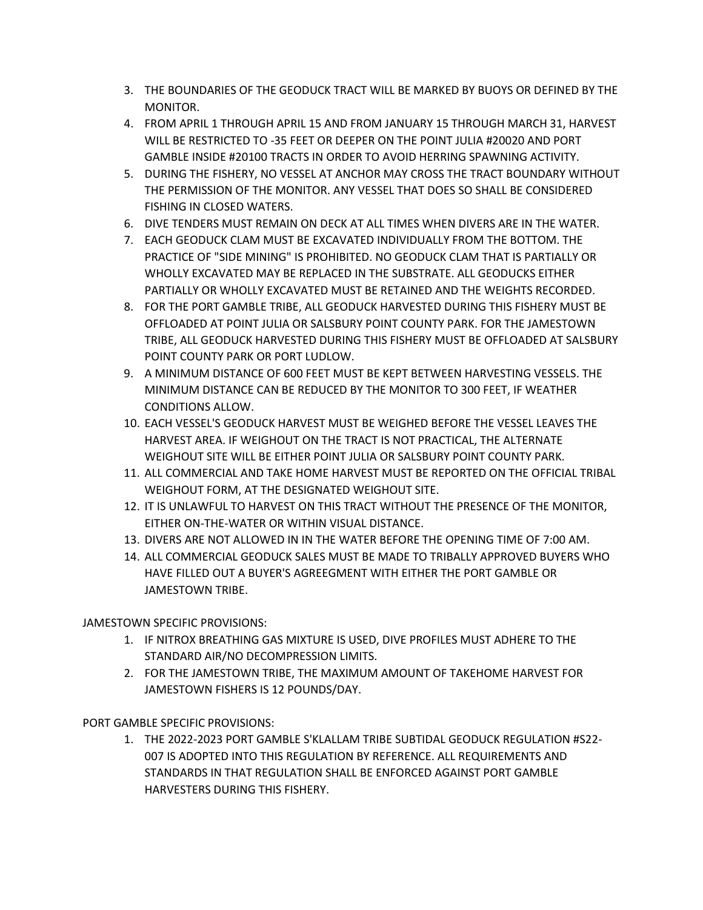- 3. THE BOUNDARIES OF THE GEODUCK TRACT WILL BE MARKED BY BUOYS OR DEFINED BY THE MONITOR.
- 4. FROM APRIL 1 THROUGH APRIL 15 AND FROM JANUARY 15 THROUGH MARCH 31, HARVEST WILL BE RESTRICTED TO -35 FEET OR DEEPER ON THE POINT JULIA #20020 AND PORT GAMBLE INSIDE #20100 TRACTS IN ORDER TO AVOID HERRING SPAWNING ACTIVITY.
- 5. DURING THE FISHERY, NO VESSEL AT ANCHOR MAY CROSS THE TRACT BOUNDARY WITHOUT THE PERMISSION OF THE MONITOR. ANY VESSEL THAT DOES SO SHALL BE CONSIDERED FISHING IN CLOSED WATERS.
- 6. DIVE TENDERS MUST REMAIN ON DECK AT ALL TIMES WHEN DIVERS ARE IN THE WATER.
- 7. EACH GEODUCK CLAM MUST BE EXCAVATED INDIVIDUALLY FROM THE BOTTOM. THE PRACTICE OF "SIDE MINING" IS PROHIBITED. NO GEODUCK CLAM THAT IS PARTIALLY OR WHOLLY EXCAVATED MAY BE REPLACED IN THE SUBSTRATE. ALL GEODUCKS EITHER PARTIALLY OR WHOLLY EXCAVATED MUST BE RETAINED AND THE WEIGHTS RECORDED.
- 8. FOR THE PORT GAMBLE TRIBE, ALL GEODUCK HARVESTED DURING THIS FISHERY MUST BE OFFLOADED AT POINT JULIA OR SALSBURY POINT COUNTY PARK. FOR THE JAMESTOWN TRIBE, ALL GEODUCK HARVESTED DURING THIS FISHERY MUST BE OFFLOADED AT SALSBURY POINT COUNTY PARK OR PORT LUDLOW.
- 9. A MINIMUM DISTANCE OF 600 FEET MUST BE KEPT BETWEEN HARVESTING VESSELS. THE MINIMUM DISTANCE CAN BE REDUCED BY THE MONITOR TO 300 FEET, IF WEATHER CONDITIONS ALLOW.
- 10. EACH VESSEL'S GEODUCK HARVEST MUST BE WEIGHED BEFORE THE VESSEL LEAVES THE HARVEST AREA. IF WEIGHOUT ON THE TRACT IS NOT PRACTICAL, THE ALTERNATE WEIGHOUT SITE WILL BE EITHER POINT JULIA OR SALSBURY POINT COUNTY PARK.
- 11. ALL COMMERCIAL AND TAKE HOME HARVEST MUST BE REPORTED ON THE OFFICIAL TRIBAL WEIGHOUT FORM, AT THE DESIGNATED WEIGHOUT SITE.
- 12. IT IS UNLAWFUL TO HARVEST ON THIS TRACT WITHOUT THE PRESENCE OF THE MONITOR, EITHER ON-THE-WATER OR WITHIN VISUAL DISTANCE.
- 13. DIVERS ARE NOT ALLOWED IN IN THE WATER BEFORE THE OPENING TIME OF 7:00 AM.
- 14. ALL COMMERCIAL GEODUCK SALES MUST BE MADE TO TRIBALLY APPROVED BUYERS WHO HAVE FILLED OUT A BUYER'S AGREEGMENT WITH EITHER THE PORT GAMBLE OR JAMESTOWN TRIBE.

JAMESTOWN SPECIFIC PROVISIONS:

- 1. IF NITROX BREATHING GAS MIXTURE IS USED, DIVE PROFILES MUST ADHERE TO THE STANDARD AIR/NO DECOMPRESSION LIMITS.
- 2. FOR THE JAMESTOWN TRIBE, THE MAXIMUM AMOUNT OF TAKEHOME HARVEST FOR JAMESTOWN FISHERS IS 12 POUNDS/DAY.

PORT GAMBLE SPECIFIC PROVISIONS:

1. THE 2022-2023 PORT GAMBLE S'KLALLAM TRIBE SUBTIDAL GEODUCK REGULATION #S22- 007 IS ADOPTED INTO THIS REGULATION BY REFERENCE. ALL REQUIREMENTS AND STANDARDS IN THAT REGULATION SHALL BE ENFORCED AGAINST PORT GAMBLE HARVESTERS DURING THIS FISHERY.